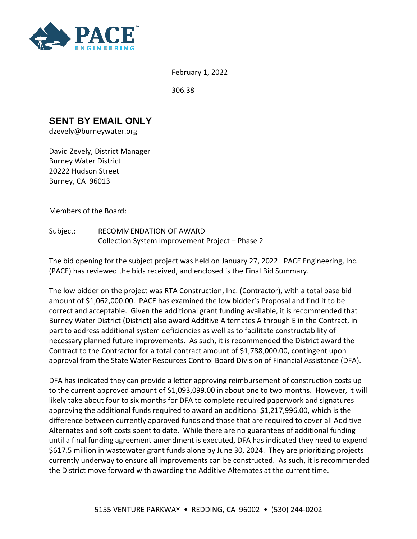

February 1, 2022

306.38

## **SENT BY EMAIL ONLY**

dzevely@burneywater.org

David Zevely, District Manager Burney Water District 20222 Hudson Street Burney, CA 96013

Members of the Board:

Subject: RECOMMENDATION OF AWARD Collection System Improvement Project – Phase 2

The bid opening for the subject project was held on January 27, 2022. PACE Engineering, Inc. (PACE) has reviewed the bids received, and enclosed is the Final Bid Summary.

The low bidder on the project was RTA Construction, Inc. (Contractor), with a total base bid amount of \$1,062,000.00. PACE has examined the low bidder's Proposal and find it to be correct and acceptable. Given the additional grant funding available, it is recommended that Burney Water District (District) also award Additive Alternates A through E in the Contract, in part to address additional system deficiencies as well as to facilitate constructability of necessary planned future improvements. As such, it is recommended the District award the Contract to the Contractor for a total contract amount of \$1,788,000.00, contingent upon approval from the State Water Resources Control Board Division of Financial Assistance (DFA).

DFA has indicated they can provide a letter approving reimbursement of construction costs up to the current approved amount of \$1,093,099.00 in about one to two months. However, it will likely take about four to six months for DFA to complete required paperwork and signatures approving the additional funds required to award an additional \$1,217,996.00, which is the difference between currently approved funds and those that are required to cover all Additive Alternates and soft costs spent to date. While there are no guarantees of additional funding until a final funding agreement amendment is executed, DFA has indicated they need to expend \$617.5 million in wastewater grant funds alone by June 30, 2024. They are prioritizing projects currently underway to ensure all improvements can be constructed. As such, it is recommended the District move forward with awarding the Additive Alternates at the current time.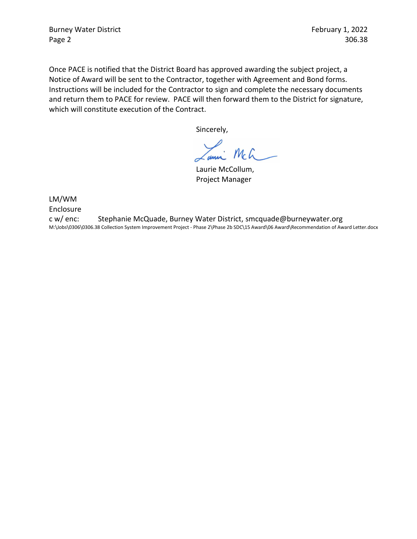Burney Water District **February 1, 2022** Page 2 306.38

Once PACE is notified that the District Board has approved awarding the subject project, a Notice of Award will be sent to the Contractor, together with Agreement and Bond forms. Instructions will be included for the Contractor to sign and complete the necessary documents and return them to PACE for review. PACE will then forward them to the District for signature, which will constitute execution of the Contract.

Sincerely,

 $mcf$ ann

Laurie McCollum, Project Manager

LM/WM

Enclosure

c w/ enc: Stephanie McQuade, Burney Water District, smcquade@burneywater.org M:\Jobs\0306\0306.38 Collection System Improvement Project - Phase 2\Phase 2b SDC\15 Award\06 Award\Recommendation of Award Letter.docx